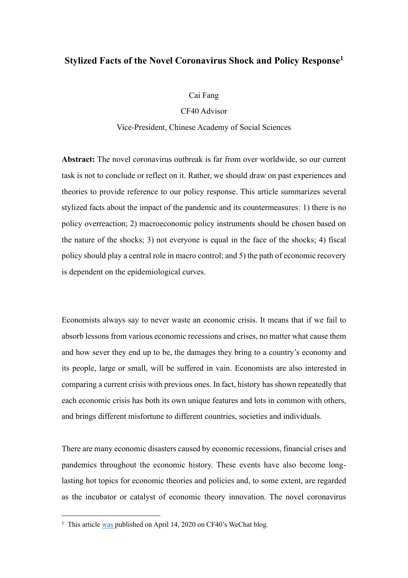# **Stylized Facts of the Novel Coronavirus Shock and Policy Response<sup>1</sup>**

Cai Fang

CF40 Advisor

Vice-President, Chinese Academy of Social Sciences

**Abstract:** The novel coronavirus outbreak is far from over worldwide, so our current task is not to conclude or reflect on it. Rather, we should draw on past experiences and theories to provide reference to our policy response. This article summarizes several stylized facts about the impact of the pandemic and its countermeasures: 1) there is no policy overreaction; 2) macroeconomic policy instruments should be chosen based on the nature of the shocks; 3) not everyone is equal in the face of the shocks; 4) fiscal policy should play a central role in macro control; and 5) the path of economic recovery is dependent on the epidemiological curves.

Economists always say to never waste an economic crisis. It means that if we fail to absorb lessons from various economic recessions and crises, no matter what cause them and how sever they end up to be, the damages they bring to a country's economy and its people, large or small, will be suffered in vain. Economists are also interested in comparing a current crisis with previous ones. In fact, history has shown repeatedly that each economic crisis has both its own unique features and lots in common with others, and brings different misfortune to different countries, societies and individuals.

There are many economic disasters caused by economic recessions, financial crises and pandemics throughout the economic history. These events have also become longlasting hot topics for economic theories and policies and, to some extent, are regarded as the incubator or catalyst of economic theory innovation. The novel coronavirus

<sup>&</sup>lt;sup>1</sup> This article [was p](https://mp.weixin.qq.com/s/ZbLsFjNjERbsI1tgWQEmTA)ublished on April 14, 2020 on CF40's WeChat blog.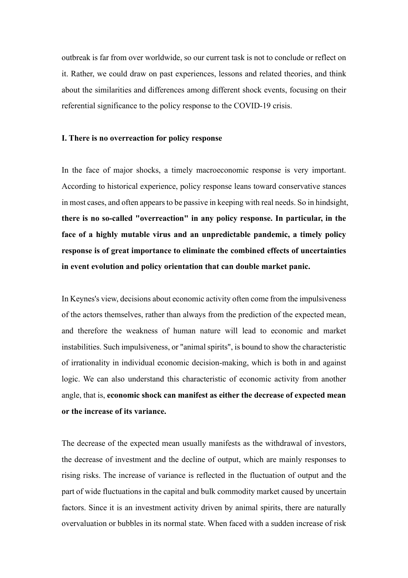outbreak is far from over worldwide, so our current task is not to conclude or reflect on it. Rather, we could draw on past experiences, lessons and related theories, and think about the similarities and differences among different shock events, focusing on their referential significance to the policy response to the COVID-19 crisis.

#### **Ⅰ. There is no overreaction for policy response**

In the face of major shocks, a timely macroeconomic response is very important. According to historical experience, policy response leans toward conservative stances in most cases, and often appears to be passive in keeping with real needs. So in hindsight, **there is no so-called "overreaction" in any policy response. In particular, in the face of a highly mutable virus and an unpredictable pandemic, a timely policy response is of great importance to eliminate the combined effects of uncertainties in event evolution and policy orientation that can double market panic.** 

In Keynes's view, decisions about economic activity often come from the impulsiveness of the actors themselves, rather than always from the prediction of the expected mean, and therefore the weakness of human nature will lead to economic and market instabilities. Such impulsiveness, or "animal spirits", is bound to show the characteristic of irrationality in individual economic decision-making, which is both in and against logic. We can also understand this characteristic of economic activity from another angle, that is, **economic shock can manifest as either the decrease of expected mean or the increase of its variance.**

The decrease of the expected mean usually manifests as the withdrawal of investors, the decrease of investment and the decline of output, which are mainly responses to rising risks. The increase of variance is reflected in the fluctuation of output and the part of wide fluctuations in the capital and bulk commodity market caused by uncertain factors. Since it is an investment activity driven by animal spirits, there are naturally overvaluation or bubbles in its normal state. When faced with a sudden increase of risk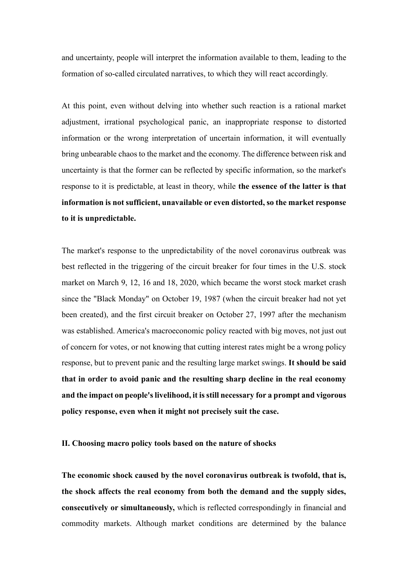and uncertainty, people will interpret the information available to them, leading to the formation of so-called circulated narratives, to which they will react accordingly.

At this point, even without delving into whether such reaction is a rational market adjustment, irrational psychological panic, an inappropriate response to distorted information or the wrong interpretation of uncertain information, it will eventually bring unbearable chaos to the market and the economy. The difference between risk and uncertainty is that the former can be reflected by specific information, so the market's response to it is predictable, at least in theory, while **the essence of the latter is that information is not sufficient, unavailable or even distorted, so the market response to it is unpredictable.**

The market's response to the unpredictability of the novel coronavirus outbreak was best reflected in the triggering of the circuit breaker for four times in the U.S. stock market on March 9, 12, 16 and 18, 2020, which became the worst stock market crash since the "Black Monday" on October 19, 1987 (when the circuit breaker had not yet been created), and the first circuit breaker on October 27, 1997 after the mechanism was established. America's macroeconomic policy reacted with big moves, not just out of concern for votes, or not knowing that cutting interest rates might be a wrong policy response, but to prevent panic and the resulting large market swings. **It should be said that in order to avoid panic and the resulting sharp decline in the real economy and the impact on people's livelihood, it is still necessary for a prompt and vigorous policy response, even when it might not precisely suit the case.**

**Ⅱ. Choosing macro policy tools based on the nature of shocks**

**The economic shock caused by the novel coronavirus outbreak is twofold, that is, the shock affects the real economy from both the demand and the supply sides, consecutively or simultaneously,** which is reflected correspondingly in financial and commodity markets. Although market conditions are determined by the balance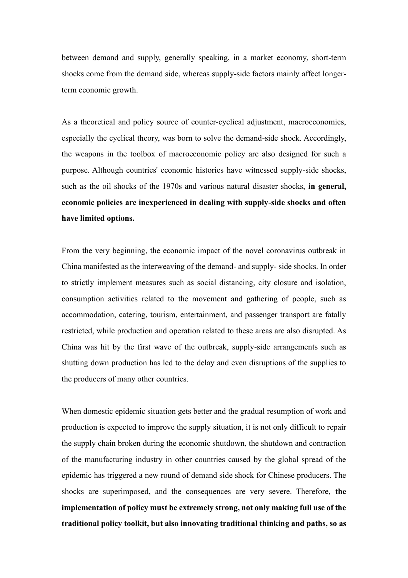between demand and supply, generally speaking, in a market economy, short-term shocks come from the demand side, whereas supply-side factors mainly affect longerterm economic growth.

As a theoretical and policy source of counter-cyclical adjustment, macroeconomics, especially the cyclical theory, was born to solve the demand-side shock. Accordingly, the weapons in the toolbox of macroeconomic policy are also designed for such a purpose. Although countries' economic histories have witnessed supply-side shocks, such as the oil shocks of the 1970s and various natural disaster shocks, **in general, economic policies are inexperienced in dealing with supply-side shocks and often have limited options.**

From the very beginning, the economic impact of the novel coronavirus outbreak in China manifested as the interweaving of the demand- and supply- side shocks. In order to strictly implement measures such as social distancing, city closure and isolation, consumption activities related to the movement and gathering of people, such as accommodation, catering, tourism, entertainment, and passenger transport are fatally restricted, while production and operation related to these areas are also disrupted. As China was hit by the first wave of the outbreak, supply-side arrangements such as shutting down production has led to the delay and even disruptions of the supplies to the producers of many other countries.

When domestic epidemic situation gets better and the gradual resumption of work and production is expected to improve the supply situation, it is not only difficult to repair the supply chain broken during the economic shutdown, the shutdown and contraction of the manufacturing industry in other countries caused by the global spread of the epidemic has triggered a new round of demand side shock for Chinese producers. The shocks are superimposed, and the consequences are very severe. Therefore, **the implementation of policy must be extremely strong, not only making full use of the traditional policy toolkit, but also innovating traditional thinking and paths, so as**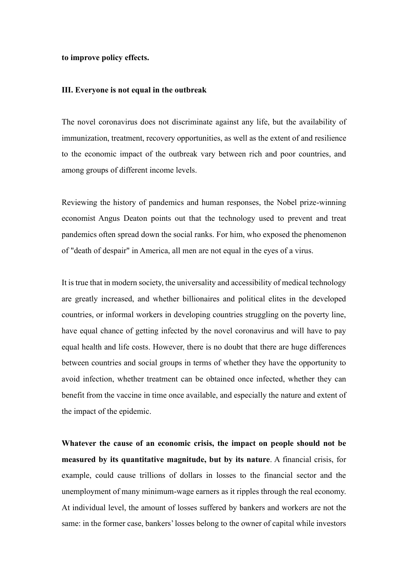## **to improve policy effects.**

## **Ⅲ. Everyone is not equal in the outbreak**

The novel coronavirus does not discriminate against any life, but the availability of immunization, treatment, recovery opportunities, as well as the extent of and resilience to the economic impact of the outbreak vary between rich and poor countries, and among groups of different income levels.

Reviewing the history of pandemics and human responses, the Nobel prize-winning economist Angus Deaton points out that the technology used to prevent and treat pandemics often spread down the social ranks. For him, who exposed the phenomenon of "death of despair" in America, all men are not equal in the eyes of a virus.

It is true that in modern society, the universality and accessibility of medical technology are greatly increased, and whether billionaires and political elites in the developed countries, or informal workers in developing countries struggling on the poverty line, have equal chance of getting infected by the novel coronavirus and will have to pay equal health and life costs. However, there is no doubt that there are huge differences between countries and social groups in terms of whether they have the opportunity to avoid infection, whether treatment can be obtained once infected, whether they can benefit from the vaccine in time once available, and especially the nature and extent of the impact of the epidemic.

**Whatever the cause of an economic crisis, the impact on people should not be measured by its quantitative magnitude, but by its nature**. A financial crisis, for example, could cause trillions of dollars in losses to the financial sector and the unemployment of many minimum-wage earners as it ripples through the real economy. At individual level, the amount of losses suffered by bankers and workers are not the same: in the former case, bankers' losses belong to the owner of capital while investors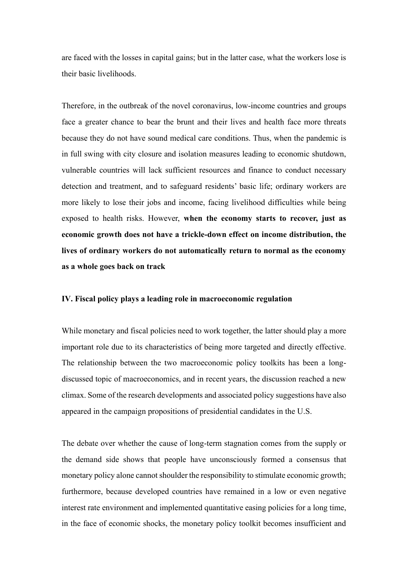are faced with the losses in capital gains; but in the latter case, what the workers lose is their basic livelihoods.

Therefore, in the outbreak of the novel coronavirus, low-income countries and groups face a greater chance to bear the brunt and their lives and health face more threats because they do not have sound medical care conditions. Thus, when the pandemic is in full swing with city closure and isolation measures leading to economic shutdown, vulnerable countries will lack sufficient resources and finance to conduct necessary detection and treatment, and to safeguard residents' basic life; ordinary workers are more likely to lose their jobs and income, facing livelihood difficulties while being exposed to health risks. However, **when the economy starts to recover, just as economic growth does not have a trickle-down effect on income distribution, the lives of ordinary workers do not automatically return to normal as the economy as a whole goes back on track**

## **Ⅳ. Fiscal policy plays a leading role in macroeconomic regulation**

While monetary and fiscal policies need to work together, the latter should play a more important role due to its characteristics of being more targeted and directly effective. The relationship between the two macroeconomic policy toolkits has been a longdiscussed topic of macroeconomics, and in recent years, the discussion reached a new climax. Some of the research developments and associated policy suggestions have also appeared in the campaign propositions of presidential candidates in the U.S.

The debate over whether the cause of long-term stagnation comes from the supply or the demand side shows that people have unconsciously formed a consensus that monetary policy alone cannot shoulder the responsibility to stimulate economic growth; furthermore, because developed countries have remained in a low or even negative interest rate environment and implemented quantitative easing policies for a long time, in the face of economic shocks, the monetary policy toolkit becomes insufficient and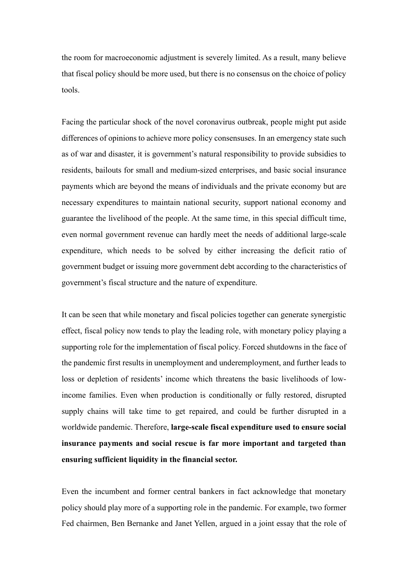the room for macroeconomic adjustment is severely limited. As a result, many believe that fiscal policy should be more used, but there is no consensus on the choice of policy tools.

Facing the particular shock of the novel coronavirus outbreak, people might put aside differences of opinions to achieve more policy consensuses. In an emergency state such as of war and disaster, it is government's natural responsibility to provide subsidies to residents, bailouts for small and medium-sized enterprises, and basic social insurance payments which are beyond the means of individuals and the private economy but are necessary expenditures to maintain national security, support national economy and guarantee the livelihood of the people. At the same time, in this special difficult time, even normal government revenue can hardly meet the needs of additional large-scale expenditure, which needs to be solved by either increasing the deficit ratio of government budget or issuing more government debt according to the characteristics of government's fiscal structure and the nature of expenditure.

It can be seen that while monetary and fiscal policies together can generate synergistic effect, fiscal policy now tends to play the leading role, with monetary policy playing a supporting role for the implementation of fiscal policy. Forced shutdowns in the face of the pandemic first results in unemployment and underemployment, and further leads to loss or depletion of residents' income which threatens the basic livelihoods of lowincome families. Even when production is conditionally or fully restored, disrupted supply chains will take time to get repaired, and could be further disrupted in a worldwide pandemic. Therefore, **large-scale fiscal expenditure used to ensure social insurance payments and social rescue is far more important and targeted than ensuring sufficient liquidity in the financial sector.**

Even the incumbent and former central bankers in fact acknowledge that monetary policy should play more of a supporting role in the pandemic. For example, two former Fed chairmen, Ben Bernanke and Janet Yellen, argued in a joint essay that the role of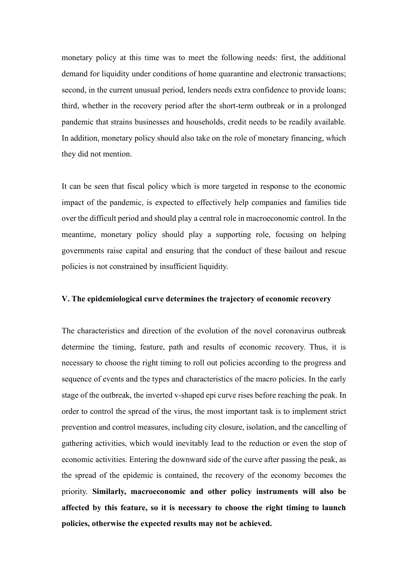monetary policy at this time was to meet the following needs: first, the additional demand for liquidity under conditions of home quarantine and electronic transactions; second, in the current unusual period, lenders needs extra confidence to provide loans; third, whether in the recovery period after the short-term outbreak or in a prolonged pandemic that strains businesses and households, credit needs to be readily available. In addition, monetary policy should also take on the role of monetary financing, which they did not mention.

It can be seen that fiscal policy which is more targeted in response to the economic impact of the pandemic, is expected to effectively help companies and families tide over the difficult period and should play a central role in macroeconomic control. In the meantime, monetary policy should play a supporting role, focusing on helping governments raise capital and ensuring that the conduct of these bailout and rescue policies is not constrained by insufficient liquidity.

#### **Ⅴ. The epidemiological curve determines the trajectory of economic recovery**

The characteristics and direction of the evolution of the novel coronavirus outbreak determine the timing, feature, path and results of economic recovery. Thus, it is necessary to choose the right timing to roll out policies according to the progress and sequence of events and the types and characteristics of the macro policies. In the early stage of the outbreak, the inverted v-shaped epi curve rises before reaching the peak. In order to control the spread of the virus, the most important task is to implement strict prevention and control measures, including city closure, isolation, and the cancelling of gathering activities, which would inevitably lead to the reduction or even the stop of economic activities. Entering the downward side of the curve after passing the peak, as the spread of the epidemic is contained, the recovery of the economy becomes the priority. **Similarly, macroeconomic and other policy instruments will also be affected by this feature, so it is necessary to choose the right timing to launch policies, otherwise the expected results may not be achieved.**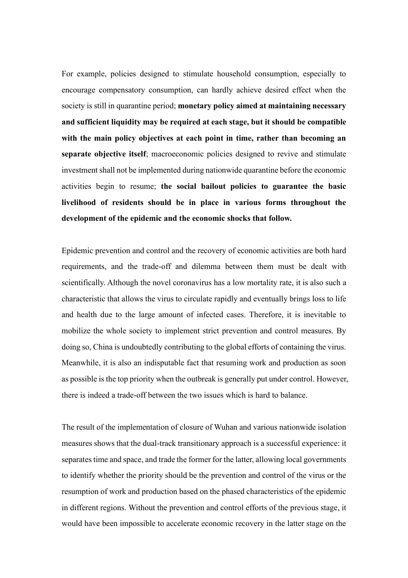For example, policies designed to stimulate household consumption, especially to encourage compensatory consumption, can hardly achieve desired effect when the society is still in quarantine period; **monetary policy aimed at maintaining necessary and sufficient liquidity may be required at each stage, but it should be compatible with the main policy objectives at each point in time, rather than becoming an separate objective itself**; macroeconomic policies designed to revive and stimulate investment shall not be implemented during nationwide quarantine before the economic activities begin to resume; **the social bailout policies to guarantee the basic livelihood of residents should be in place in various forms throughout the development of the epidemic and the economic shocks that follow.**

Epidemic prevention and control and the recovery of economic activities are both hard requirements, and the trade-off and dilemma between them must be dealt with scientifically. Although the novel coronavirus has a low mortality rate, it is also such a characteristic that allows the virus to circulate rapidly and eventually brings loss to life and health due to the large amount of infected cases. Therefore, it is inevitable to mobilize the whole society to implement strict prevention and control measures. By doing so, China is undoubtedly contributing to the global efforts of containing the virus. Meanwhile, it is also an indisputable fact that resuming work and production as soon as possible is the top priority when the outbreak is generally put under control. However, there is indeed a trade-off between the two issues which is hard to balance.

The result of the implementation of closure of Wuhan and various nationwide isolation measures shows that the dual-track transitionary approach is a successful experience: it separates time and space, and trade the former for the latter, allowing local governments to identify whether the priority should be the prevention and control of the virus or the resumption of work and production based on the phased characteristics of the epidemic in different regions. Without the prevention and control efforts of the previous stage, it would have been impossible to accelerate economic recovery in the latter stage on the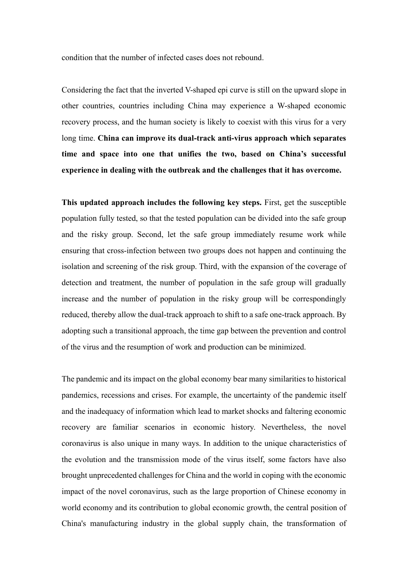condition that the number of infected cases does not rebound.

Considering the fact that the inverted V-shaped epi curve is still on the upward slope in other countries, countries including China may experience a W-shaped economic recovery process, and the human society is likely to coexist with this virus for a very long time. **China can improve its dual-track anti-virus approach which separates time and space into one that unifies the two, based on China's successful experience in dealing with the outbreak and the challenges that it has overcome.**

**This updated approach includes the following key steps.** First, get the susceptible population fully tested, so that the tested population can be divided into the safe group and the risky group. Second, let the safe group immediately resume work while ensuring that cross-infection between two groups does not happen and continuing the isolation and screening of the risk group. Third, with the expansion of the coverage of detection and treatment, the number of population in the safe group will gradually increase and the number of population in the risky group will be correspondingly reduced, thereby allow the dual-track approach to shift to a safe one-track approach. By adopting such a transitional approach, the time gap between the prevention and control of the virus and the resumption of work and production can be minimized.

The pandemic and its impact on the global economy bear many similarities to historical pandemics, recessions and crises. For example, the uncertainty of the pandemic itself and the inadequacy of information which lead to market shocks and faltering economic recovery are familiar scenarios in economic history. Nevertheless, the novel coronavirus is also unique in many ways. In addition to the unique characteristics of the evolution and the transmission mode of the virus itself, some factors have also brought unprecedented challenges for China and the world in coping with the economic impact of the novel coronavirus, such as the large proportion of Chinese economy in world economy and its contribution to global economic growth, the central position of China's manufacturing industry in the global supply chain, the transformation of